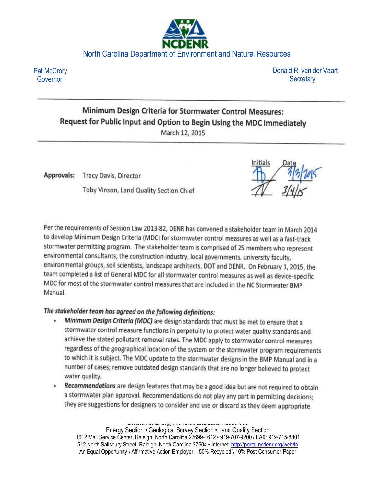# North Carolina Department of Environment and Natural Resources

Pat McCrory Governor

Donald R. van der Vaart **Secretary** 

## Minimum Design Criteria for Stormwater Control Measures: Request for Public Input and Option to Begin Using the MDC Immediately March 12, 2015

Approvals: Tracy Davis, Director

Toby Vinson, Land Quality Section Chief

Per the requirements of Session Law 2013-82, DENR has convened a stakeholder team in March 2014 to develop Minimum Design Criteria (MDC) for stormwater control measures as well as a fast-track stormwater permitting program. The stakeholder team is comprised of 25 members who represent environmental consultants, the construction industry, local governments, university faculty, environmental groups, soil scientists, landscape architects, DOT and DENR. On February 1, 2015, the team completed a list of General MDC for all stormwater control measures as well as device-specific MDC for most of the stormwater control measures that are included in the NC Stormwater BMP Manual.

## The stakeholder team has agreed on the following definitions:

- Minimum Design Criteria (MDC) are design standards that must be met to ensure that a stormwater control measure functions in perpetuity to protect water quality standards and achieve the stated pollutant removal rates. The MDC apply to stormwater control measures regardless of the geographical location of the system or the stormwater program requirements to which it is subject. The MDC update to the stormwater designs in the BMP Manual and in a number of cases; remove outdated design standards that are no longer believed to protect water quality.
- Recommendations are design features that may be a good idea but are not required to obtain a stormwater plan approval. Recommendations do not play any part in permitting decisions; they are suggestions for designers to consider and use or discard as they deem appropriate.

Division of Energy, Mineral, and Land Resources Energy Section • Geological Survey Section • Land Quality Section 1612 Mail Service Center, Raleigh, North Carolina 27699-1612 • 919-707-9200 / FAX: 919-715-8801 512 North Salisbury Street, Raleigh, North Carolina 27604 • Internet: <http://portal.ncdenr.org/web/lr/> An Equal Opportunity \ Affirmative Action Employer – 50% Recycled \ 10% Post Consumer Paper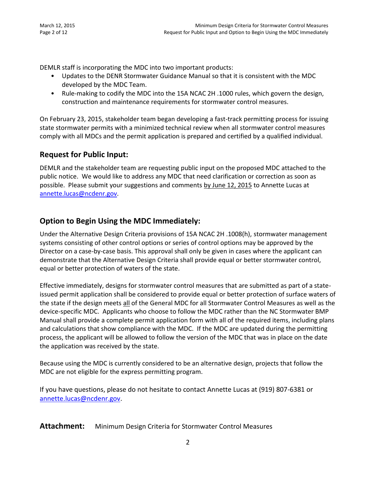DEMLR staff is incorporating the MDC into two important products:

- Updates to the DENR Stormwater Guidance Manual so that it is consistent with the MDC developed by the MDC Team.
- Rule-making to codify the MDC into the 15A NCAC 2H .1000 rules, which govern the design, construction and maintenance requirements for stormwater control measures.

On February 23, 2015, stakeholder team began developing a fast-track permitting process for issuing state stormwater permits with a minimized technical review when all stormwater control measures comply with all MDCs and the permit application is prepared and certified by a qualified individual.

## **Request for Public Input:**

DEMLR and the stakeholder team are requesting public input on the proposed MDC attached to the public notice. We would like to address any MDC that need clarification or correction as soon as possible. Please submit your suggestions and comments by June 12, 2015 to Annette Lucas at [annette.lucas@ncdenr.gov.](mailto:annette.lucas@ncdenr.gov)

## **Option to Begin Using the MDC Immediately:**

Under the Alternative Design Criteria provisions of 15A NCAC 2H .1008(h), stormwater management systems consisting of other control options or series of control options may be approved by the Director on a case-by-case basis. This approval shall only be given in cases where the applicant can demonstrate that the Alternative Design Criteria shall provide equal or better stormwater control, equal or better protection of waters of the state.

Effective immediately, designs for stormwater control measures that are submitted as part of a stateissued permit application shall be considered to provide equal or better protection of surface waters of the state if the design meets all of the General MDC for all Stormwater Control Measures as well as the device-specific MDC. Applicants who choose to follow the MDC rather than the NC Stormwater BMP Manual shall provide a complete permit application form with all of the required items, including plans and calculations that show compliance with the MDC. If the MDC are updated during the permitting process, the applicant will be allowed to follow the version of the MDC that was in place on the date the application was received by the state.

Because using the MDC is currently considered to be an alternative design, projects that follow the MDC are not eligible for the express permitting program.

If you have questions, please do not hesitate to contact Annette Lucas at (919) 807-6381 or [annette.lucas@ncdenr.gov.](mailto:annette.lucas@ncdenr.gov)

Attachment: Minimum Design Criteria for Stormwater Control Measures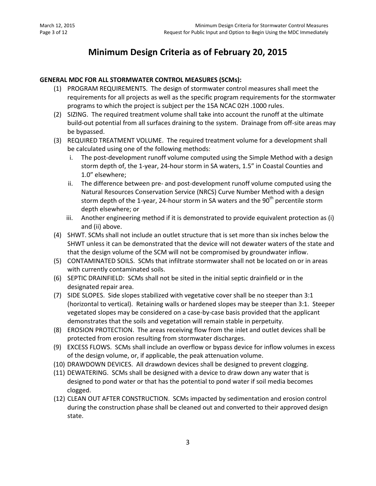# **Minimum Design Criteria as of February 20, 2015**

#### **GENERAL MDC FOR ALL STORMWATER CONTROL MEASURES (SCMs):**

- (1) PROGRAM REQUIREMENTS. The design of stormwater control measures shall meet the requirements for all projects as well as the specific program requirements for the stormwater programs to which the project is subject per the 15A NCAC 02H .1000 rules.
- (2) SIZING. The required treatment volume shall take into account the runoff at the ultimate build-out potential from all surfaces draining to the system. Drainage from off-site areas may be bypassed.
- (3) REQUIRED TREATMENT VOLUME. The required treatment volume for a development shall be calculated using one of the following methods:
	- i. The post-development runoff volume computed using the Simple Method with a design storm depth of, the 1-year, 24-hour storm in SA waters, 1.5" in Coastal Counties and 1.0" elsewhere;
	- ii. The difference between pre- and post-development runoff volume computed using the Natural Resources Conservation Service (NRCS) Curve Number Method with a design storm depth of the 1-year, 24-hour storm in SA waters and the  $90<sup>th</sup>$  percentile storm depth elsewhere; or
	- iii. Another engineering method if it is demonstrated to provide equivalent protection as (i) and (ii) above.
- (4) SHWT. SCMs shall not include an outlet structure that is set more than six inches below the SHWT unless it can be demonstrated that the device will not dewater waters of the state and that the design volume of the SCM will not be compromised by groundwater inflow.
- (5) CONTAMINATED SOILS. SCMs that infiltrate stormwater shall not be located on or in areas with currently contaminated soils.
- (6) SEPTIC DRAINFIELD: SCMs shall not be sited in the initial septic drainfield or in the designated repair area.
- (7) SIDE SLOPES. Side slopes stabilized with vegetative cover shall be no steeper than 3:1 (horizontal to vertical). Retaining walls or hardened slopes may be steeper than 3:1. Steeper vegetated slopes may be considered on a case-by-case basis provided that the applicant demonstrates that the soils and vegetation will remain stable in perpetuity.
- (8) EROSION PROTECTION. The areas receiving flow from the inlet and outlet devices shall be protected from erosion resulting from stormwater discharges.
- (9) EXCESS FLOWS. SCMs shall include an overflow or bypass device for inflow volumes in excess of the design volume, or, if applicable, the peak attenuation volume.
- (10) DRAWDOWN DEVICES. All drawdown devices shall be designed to prevent clogging.
- (11) DEWATERING. SCMs shall be designed with a device to draw down any water that is designed to pond water or that has the potential to pond water if soil media becomes clogged.
- (12) CLEAN OUT AFTER CONSTRUCTION. SCMs impacted by sedimentation and erosion control during the construction phase shall be cleaned out and converted to their approved design state.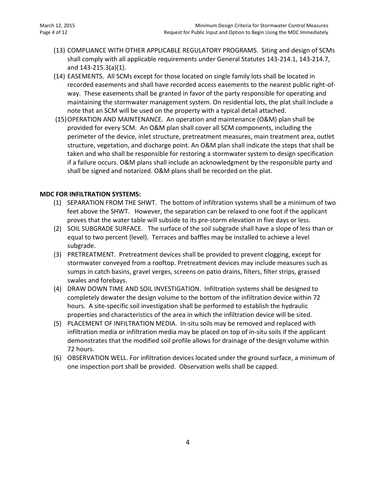- (13) COMPLIANCE WITH OTHER APPLICABLE REGULATORY PROGRAMS. Siting and design of SCMs shall comply with all applicable requirements under General Statutes 143-214.1, 143-214.7, and 143-215.3(a)(1).
- (14) EASEMENTS. All SCMs except for those located on single family lots shall be located in recorded easements and shall have recorded access easements to the nearest public right-ofway. These easements shall be granted in favor of the party responsible for operating and maintaining the stormwater management system. On residential lots, the plat shall include a note that an SCM will be used on the property with a typical detail attached.
- (15)OPERATION AND MAINTENANCE. An operation and maintenance (O&M) plan shall be provided for every SCM. An O&M plan shall cover all SCM components, including the perimeter of the device, inlet structure, pretreatment measures, main treatment area, outlet structure, vegetation, and discharge point. An O&M plan shall indicate the steps that shall be taken and who shall be responsible for restoring a stormwater system to design specification if a failure occurs. O&M plans shall include an acknowledgment by the responsible party and shall be signed and notarized. O&M plans shall be recorded on the plat.

#### **MDC FOR INFILTRATION SYSTEMS:**

- (1) SEPARATION FROM THE SHWT. The bottom of infiltration systems shall be a minimum of two feet above the SHWT. However, the separation can be relaxed to one foot if the applicant proves that the water table will subside to its pre-storm elevation in five days or less.
- (2) SOIL SUBGRADE SURFACE. The surface of the soil subgrade shall have a slope of less than or equal to two percent (level). Terraces and baffles may be installed to achieve a level subgrade.
- (3) PRETREATMENT. Pretreatment devices shall be provided to prevent clogging, except for stormwater conveyed from a rooftop. Pretreatment devices may include measures such as sumps in catch basins, gravel verges, screens on patio drains, filters, filter strips, grassed swales and forebays.
- (4) DRAW DOWN TIME AND SOIL INVESTIGATION. Infiltration systems shall be designed to completely dewater the design volume to the bottom of the infiltration device within 72 hours. A site-specific soil investigation shall be performed to establish the hydraulic properties and characteristics of the area in which the infiltration device will be sited.
- (5) PLACEMENT OF INFILTRATION MEDIA. In-situ soils may be removed and replaced with infiltration media or infiltration media may be placed on top of in-situ soils if the applicant demonstrates that the modified soil profile allows for drainage of the design volume within 72 hours.
- (6) OBSERVATION WELL. For infiltration devices located under the ground surface, a minimum of one inspection port shall be provided. Observation wells shall be capped.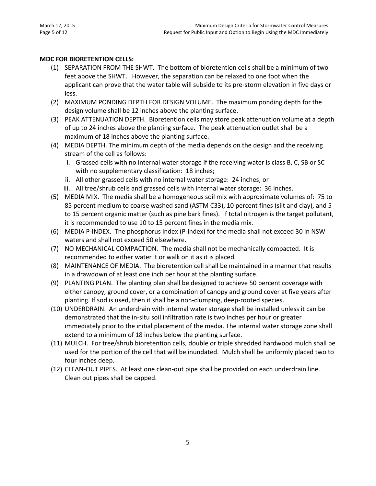#### **MDC FOR BIORETENTION CELLS:**

- (1) SEPARATION FROM THE SHWT. The bottom of bioretention cells shall be a minimum of two feet above the SHWT. However, the separation can be relaxed to one foot when the applicant can prove that the water table will subside to its pre-storm elevation in five days or less.
- (2) MAXIMUM PONDING DEPTH FOR DESIGN VOLUME. The maximum ponding depth for the design volume shall be 12 inches above the planting surface.
- (3) PEAK ATTENUATION DEPTH. Bioretention cells may store peak attenuation volume at a depth of up to 24 inches above the planting surface. The peak attenuation outlet shall be a maximum of 18 inches above the planting surface.
- (4) MEDIA DEPTH. The minimum depth of the media depends on the design and the receiving stream of the cell as follows:
	- i. Grassed cells with no internal water storage if the receiving water is class B, C, SB or SC with no supplementary classification: 18 inches;
	- ii. All other grassed cells with no internal water storage: 24 inches; or
	- iii. All tree/shrub cells and grassed cells with internal water storage: 36 inches.
- (5) MEDIA MIX. The media shall be a homogeneous soil mix with approximate volumes of: 75 to 85 percent medium to coarse washed sand (ASTM C33), 10 percent fines (silt and clay), and 5 to 15 percent organic matter (such as pine bark fines). If total nitrogen is the target pollutant, it is recommended to use 10 to 15 percent fines in the media mix.
- (6) MEDIA P-INDEX. The phosphorus index (P-index) for the media shall not exceed 30 in NSW waters and shall not exceed 50 elsewhere.
- (7) NO MECHANICAL COMPACTION. The media shall not be mechanically compacted. It is recommended to either water it or walk on it as it is placed.
- (8) MAINTENANCE OF MEDIA. The bioretention cell shall be maintained in a manner that results in a drawdown of at least one inch per hour at the planting surface.
- (9) PLANTING PLAN. The planting plan shall be designed to achieve 50 percent coverage with either canopy, ground cover, or a combination of canopy and ground cover at five years after planting. If sod is used, then it shall be a non-clumping, deep-rooted species.
- (10) UNDERDRAIN. An underdrain with internal water storage shall be installed unless it can be demonstrated that the in-situ soil infiltration rate is two inches per hour or greater immediately prior to the initial placement of the media. The internal water storage zone shall extend to a minimum of 18 inches below the planting surface.
- (11) MULCH. For tree/shrub bioretention cells, double or triple shredded hardwood mulch shall be used for the portion of the cell that will be inundated. Mulch shall be uniformly placed two to four inches deep.
- (12) CLEAN-OUT PIPES. At least one clean-out pipe shall be provided on each underdrain line. Clean out pipes shall be capped.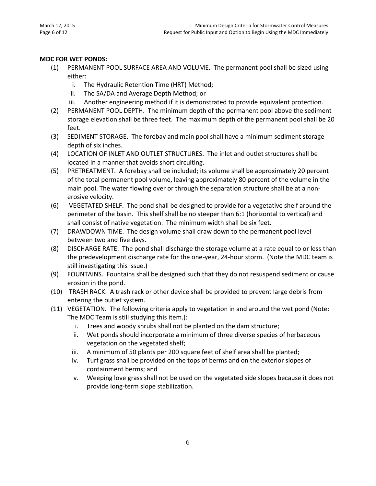#### **MDC FOR WET PONDS:**

- (1) PERMANENT POOL SURFACE AREA AND VOLUME. The permanent pool shall be sized using either:
	- i. The Hydraulic Retention Time (HRT) Method;
	- ii. The SA/DA and Average Depth Method; or
	- iii. Another engineering method if it is demonstrated to provide equivalent protection.
- (2) PERMANENT POOL DEPTH. The minimum depth of the permanent pool above the sediment storage elevation shall be three feet. The maximum depth of the permanent pool shall be 20 feet.
- (3) SEDIMENT STORAGE. The forebay and main pool shall have a minimum sediment storage depth of six inches.
- (4) LOCATION OF INLET AND OUTLET STRUCTURES. The inlet and outlet structures shall be located in a manner that avoids short circuiting.
- (5) PRETREATMENT. A forebay shall be included; its volume shall be approximately 20 percent of the total permanent pool volume, leaving approximately 80 percent of the volume in the main pool. The water flowing over or through the separation structure shall be at a nonerosive velocity.
- (6) VEGETATED SHELF. The pond shall be designed to provide for a vegetative shelf around the perimeter of the basin. This shelf shall be no steeper than 6:1 (horizontal to vertical) and shall consist of native vegetation. The minimum width shall be six feet.
- (7) DRAWDOWN TIME. The design volume shall draw down to the permanent pool level between two and five days.
- (8) DISCHARGE RATE. The pond shall discharge the storage volume at a rate equal to or less than the predevelopment discharge rate for the one-year, 24-hour storm. (Note the MDC team is still investigating this issue.)
- (9) FOUNTAINS. Fountains shall be designed such that they do not resuspend sediment or cause erosion in the pond.
- (10) TRASH RACK. A trash rack or other device shall be provided to prevent large debris from entering the outlet system.
- (11) VEGETATION. The following criteria apply to vegetation in and around the wet pond (Note: The MDC Team is still studying this item.):
	- i. Trees and woody shrubs shall not be planted on the dam structure;
	- ii. Wet ponds should incorporate a minimum of three diverse species of herbaceous vegetation on the vegetated shelf;
	- iii. A minimum of 50 plants per 200 square feet of shelf area shall be planted;
	- iv. Turf grass shall be provided on the tops of berms and on the exterior slopes of containment berms; and
	- v. Weeping love grass shall not be used on the vegetated side slopes because it does not provide long-term slope stabilization.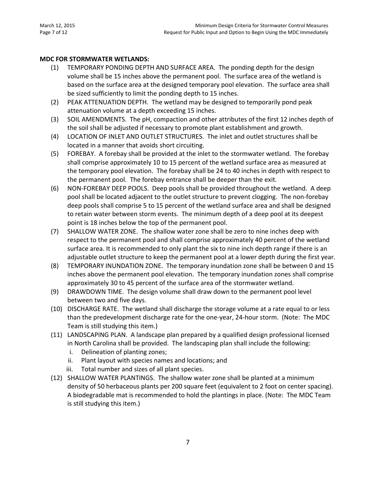#### **MDC FOR STORMWATER WETLANDS:**

- (1) TEMPORARY PONDING DEPTH AND SURFACE AREA. The ponding depth for the design volume shall be 15 inches above the permanent pool. The surface area of the wetland is based on the surface area at the designed temporary pool elevation. The surface area shall be sized sufficiently to limit the ponding depth to 15 inches.
- (2) PEAK ATTENUATION DEPTH. The wetland may be designed to temporarily pond peak attenuation volume at a depth exceeding 15 inches.
- (3) SOIL AMENDMENTS. The pH, compaction and other attributes of the first 12 inches depth of the soil shall be adjusted if necessary to promote plant establishment and growth.
- (4) LOCATION OF INLET AND OUTLET STRUCTURES. The inlet and outlet structures shall be located in a manner that avoids short circuiting.
- (5) FOREBAY. A forebay shall be provided at the inlet to the stormwater wetland. The forebay shall comprise approximately 10 to 15 percent of the wetland surface area as measured at the temporary pool elevation. The forebay shall be 24 to 40 inches in depth with respect to the permanent pool. The forebay entrance shall be deeper than the exit.
- (6) NON-FOREBAY DEEP POOLS. Deep pools shall be provided throughout the wetland. A deep pool shall be located adjacent to the outlet structure to prevent clogging. The non-forebay deep pools shall comprise 5 to 15 percent of the wetland surface area and shall be designed to retain water between storm events. The minimum depth of a deep pool at its deepest point is 18 inches below the top of the permanent pool.
- (7) SHALLOW WATER ZONE. The shallow water zone shall be zero to nine inches deep with respect to the permanent pool and shall comprise approximately 40 percent of the wetland surface area. It is recommended to only plant the six to nine inch depth range if there is an adjustable outlet structure to keep the permanent pool at a lower depth during the first year.
- (8) TEMPORARY INUNDATION ZONE. The temporary inundation zone shall be between 0 and 15 inches above the permanent pool elevation. The temporary inundation zones shall comprise approximately 30 to 45 percent of the surface area of the stormwater wetland.
- (9) DRAWDOWN TIME. The design volume shall draw down to the permanent pool level between two and five days.
- (10) DISCHARGE RATE. The wetland shall discharge the storage volume at a rate equal to or less than the predevelopment discharge rate for the one-year, 24-hour storm. (Note: The MDC Team is still studying this item.)
- (11) LANDSCAPING PLAN. A landscape plan prepared by a qualified design professional licensed in North Carolina shall be provided. The landscaping plan shall include the following:
	- i. Delineation of planting zones;
	- ii. Plant layout with species names and locations; and
	- iii. Total number and sizes of all plant species.
- (12) SHALLOW WATER PLANTINGS. The shallow water zone shall be planted at a minimum density of 50 herbaceous plants per 200 square feet (equivalent to 2 foot on center spacing). A biodegradable mat is recommended to hold the plantings in place. (Note: The MDC Team is still studying this item.)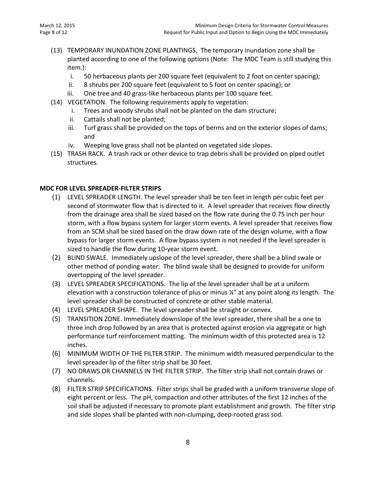- (13) TEMPORARY INUNDATION ZONE PLANTINGS. The temporary inundation zone shall be planted according to one of the following options (Note: The MDC Team is still studying this item.):
	- i. 50 herbaceous plants per 200 square feet (equivalent to 2 foot on center spacing);
	- ii. 8 shrubs per 200 square feet (equivalent to 5 foot on center spacing); or
	- iii. One tree and 40 grass-like herbaceous plants per 100 square feet.
- (14) VEGETATION. The following requirements apply to vegetation:
	- i. Trees and woody shrubs shall not be planted on the dam structure;
	- ii. Cattails shall not be planted;
	- iii. Turf grass shall be provided on the tops of berms and on the exterior slopes of dams; and
	- iv. Weeping love grass shall not be planted on vegetated side slopes.
- (15) TRASH RACK. A trash rack or other device to trap debris shall be provided on piped outlet structures.

#### **MDC FOR LEVEL SPREADER-FILTER STRIPS**

- (1) LEVEL SPREADER LENGTH. The level spreader shall be ten feet in length per cubic feet per second of stormwater flow that is directed to it. A level spreader that receives flow directly from the drainage area shall be sized based on the flow rate during the 0.75 inch per hour storm, with a flow bypass system for larger storm events. A level spreader that receives flow from an SCM shall be sized based on the draw down rate of the design volume, with a flow bypass for larger storm events. A flow bypass system is not needed if the level spreader is sized to handle the flow during 10-year storm event.
- (2) BLIND SWALE. Immediately upslope of the level spreader, there shall be a blind swale or other method of ponding water. The blind swale shall be designed to provide for uniform overtopping of the level spreader.
- (3) LEVEL SPREADER SPECIFICATIONS. The lip of the level spreader shall be at a uniform elevation with a construction tolerance of plus or minus ¼" at any point along its length. The level spreader shall be constructed of concrete or other stable material.
- (4) LEVEL SPREADER SHAPE. The level spreader shall be straight or convex.
- (5) TRANSITION ZONE. Immediately downslope of the level spreader, there shall be a one to three inch drop followed by an area that is protected against erosion via aggregate or high performance turf reinforcement matting. The minimum width of this protected area is 12 inches.
- (6) MINIMUM WIDTH OF THE FILTER STRIP. The minimum width measured perpendicular to the level spreader lip of the filter strip shall be 30 feet.
- (7) NO DRAWS OR CHANNELS IN THE FILTER STRIP. The filter strip shall not contain draws or channels.
- (8) FILTER STRIP SPECIFICATIONS. Filter strips shall be graded with a uniform transverse slope of eight percent or less. The pH, compaction and other attributes of the first 12 inches of the soil shall be adjusted if necessary to promote plant establishment and growth. The filter strip and side slopes shall be planted with non-clumping, deep-rooted grass sod.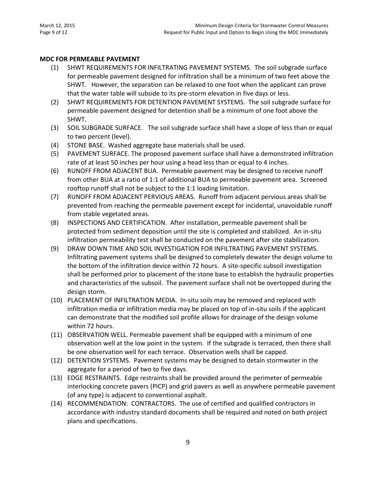#### **MDC FOR PERMEABLE PAVEMENT**

- (1) SHWT REQUIREMENTS FOR INFILTRATING PAVEMENT SYSTEMS. The soil subgrade surface for permeable pavement designed for infiltration shall be a minimum of two feet above the SHWT. However, the separation can be relaxed to one foot when the applicant can prove that the water table will subside to its pre-storm elevation in five days or less.
- (2) SHWT REQUIREMENTS FOR DETENTION PAVEMENT SYSTEMS. The soil subgrade surface for permeable pavement designed for detention shall be a minimum of one foot above the SHWT.
- (3) SOIL SUBGRADE SURFACE. The soil subgrade surface shall have a slope of less than or equal to two percent (level).
- (4) STONE BASE. Washed aggregate base materials shall be used.
- (5) PAVEMENT SURFACE. The proposed pavement surface shall have a demonstrated infiltration rate of at least 50 inches per hour using a head less than or equal to 4 inches.
- (6) RUNOFF FROM ADJACENT BUA. Permeable pavement may be designed to receive runoff from other BUA at a ratio of 1:1 of additional BUA to permeable pavement area. Screened rooftop runoff shall not be subject to the 1:1 loading limitation.
- (7) RUNOFF FROM ADJACENT PERVIOUS AREAS. Runoff from adjacent pervious areas shall be prevented from reaching the permeable pavement except for incidental, unavoidable runoff from stable vegetated areas.
- (8) INSPECTIONS AND CERTIFICATION. After installation, permeable pavement shall be protected from sediment deposition until the site is completed and stabilized. An in-situ infiltration permeability test shall be conducted on the pavement after site stabilization.
- (9) DRAW DOWN TIME AND SOIL INVESTIGATION FOR INFILTRATING PAVEMENT SYSTEMS. Infiltrating pavement systems shall be designed to completely dewater the design volume to the bottom of the infiltration device within 72 hours. A site-specific subsoil investigation shall be performed prior to placement of the stone base to establish the hydraulic properties and characteristics of the subsoil. The pavement surface shall not be overtopped during the design storm.
- (10) PLACEMENT OF INFILTRATION MEDIA. In-situ soils may be removed and replaced with infiltration media or infiltration media may be placed on top of in-situ soils if the applicant can demonstrate that the modified soil profile allows for drainage of the design volume within 72 hours.
- (11) OBSERVATION WELL. Permeable pavement shall be equipped with a minimum of one observation well at the low point in the system. If the subgrade is terraced, then there shall be one observation well for each terrace. Observation wells shall be capped.
- (12) DETENTION SYSTEMS. Pavement systems may be designed to detain stormwater in the aggregate for a period of two to five days.
- (13) EDGE RESTRAINTS. Edge restraints shall be provided around the perimeter of permeable interlocking concrete pavers (PICP) and grid pavers as well as anywhere permeable pavement (of any type) is adjacent to conventional asphalt.
- (14) RECOMMENDATION: CONTRACTORS. The use of certified and qualified contractors in accordance with industry standard documents shall be required and noted on both project plans and specifications.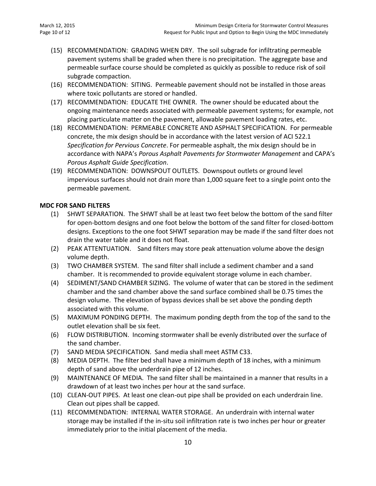- (15) RECOMMENDATION: GRADING WHEN DRY. The soil subgrade for infiltrating permeable pavement systems shall be graded when there is no precipitation. The aggregate base and permeable surface course should be completed as quickly as possible to reduce risk of soil subgrade compaction.
- (16) RECOMMENDATION: SITING. Permeable pavement should not be installed in those areas where toxic pollutants are stored or handled.
- (17) RECOMMENDATION: EDUCATE THE OWNER. The owner should be educated about the ongoing maintenance needs associated with permeable pavement systems; for example, not placing particulate matter on the pavement, allowable pavement loading rates, etc.
- (18) RECOMMENDATION: PERMEABLE CONCRETE AND ASPHALT SPECIFICATION. For permeable concrete, the mix design should be in accordance with the latest version of ACI 522.1 *Specification for Pervious Concrete*. For permeable asphalt, the mix design should be in accordance with NAPA's *Porous Asphalt Pavements for Stormwater Management* and CAPA's *Porous Asphalt Guide Specification*.
- (19) RECOMMENDATION: DOWNSPOUT OUTLETS. Downspout outlets or ground level impervious surfaces should not drain more than 1,000 square feet to a single point onto the permeable pavement.

#### **MDC FOR SAND FILTERS**

- (1) SHWT SEPARATION. The SHWT shall be at least two feet below the bottom of the sand filter for open-bottom designs and one foot below the bottom of the sand filter for closed-bottom designs. Exceptions to the one foot SHWT separation may be made if the sand filter does not drain the water table and it does not float.
- (2) PEAK ATTENTUATION. Sand filters may store peak attenuation volume above the design volume depth.
- (3) TWO CHAMBER SYSTEM. The sand filter shall include a sediment chamber and a sand chamber. It is recommended to provide equivalent storage volume in each chamber.
- (4) SEDIMENT/SAND CHAMBER SIZING. The volume of water that can be stored in the sediment chamber and the sand chamber above the sand surface combined shall be 0.75 times the design volume. The elevation of bypass devices shall be set above the ponding depth associated with this volume.
- (5) MAXIMUM PONDING DEPTH. The maximum ponding depth from the top of the sand to the outlet elevation shall be six feet.
- (6) FLOW DISTRIBUTION. Incoming stormwater shall be evenly distributed over the surface of the sand chamber.
- (7) SAND MEDIA SPECIFICATION. Sand media shall meet ASTM C33.
- (8) MEDIA DEPTH. The filter bed shall have a minimum depth of 18 inches, with a minimum depth of sand above the underdrain pipe of 12 inches.
- (9) MAINTENANCE OF MEDIA. The sand filter shall be maintained in a manner that results in a drawdown of at least two inches per hour at the sand surface.
- (10) CLEAN-OUT PIPES. At least one clean-out pipe shall be provided on each underdrain line. Clean out pipes shall be capped.
- (11) RECOMMENDATION: INTERNAL WATER STORAGE. An underdrain with internal water storage may be installed if the in-situ soil infiltration rate is two inches per hour or greater immediately prior to the initial placement of the media.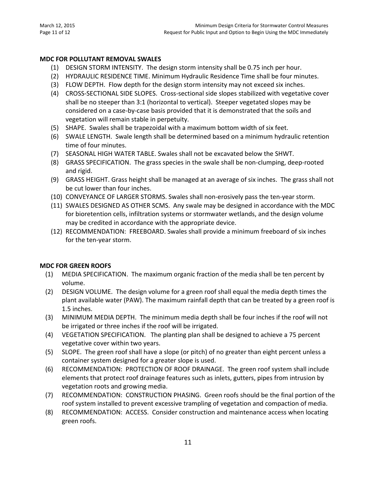#### **MDC FOR POLLUTANT REMOVAL SWALES**

- (1) DESIGN STORM INTENSITY. The design storm intensity shall be 0.75 inch per hour.
- (2) HYDRAULIC RESIDENCE TIME. Minimum Hydraulic Residence Time shall be four minutes.
- (3) FLOW DEPTH. Flow depth for the design storm intensity may not exceed six inches.
- (4) CROSS-SECTIONAL SIDE SLOPES. Cross-sectional side slopes stabilized with vegetative cover shall be no steeper than 3:1 (horizontal to vertical). Steeper vegetated slopes may be considered on a case-by-case basis provided that it is demonstrated that the soils and vegetation will remain stable in perpetuity.
- (5) SHAPE. Swales shall be trapezoidal with a maximum bottom width of six feet.
- (6) SWALE LENGTH. Swale length shall be determined based on a minimum hydraulic retention time of four minutes.
- (7) SEASONAL HIGH WATER TABLE. Swales shall not be excavated below the SHWT.
- (8) GRASS SPECIFICATION. The grass species in the swale shall be non-clumping, deep-rooted and rigid.
- (9) GRASS HEIGHT. Grass height shall be managed at an average of six inches. The grass shall not be cut lower than four inches.
- (10) CONVEYANCE OF LARGER STORMS. Swales shall non-erosively pass the ten-year storm.
- (11) SWALES DESIGNED AS OTHER SCMS. Any swale may be designed in accordance with the MDC for bioretention cells, infiltration systems or stormwater wetlands, and the design volume may be credited in accordance with the appropriate device.
- (12) RECOMMENDATION: FREEBOARD. Swales shall provide a minimum freeboard of six inches for the ten-year storm.

#### **MDC FOR GREEN ROOFS**

- (1) MEDIA SPECIFICATION. The maximum organic fraction of the media shall be ten percent by volume.
- (2) DESIGN VOLUME. The design volume for a green roof shall equal the media depth times the plant available water (PAW). The maximum rainfall depth that can be treated by a green roof is 1.5 inches.
- (3) MINIMUM MEDIA DEPTH. The minimum media depth shall be four inches if the roof will not be irrigated or three inches if the roof will be irrigated.
- (4) VEGETATION SPECIFICATION. The planting plan shall be designed to achieve a 75 percent vegetative cover within two years.
- (5) SLOPE. The green roof shall have a slope (or pitch) of no greater than eight percent unless a container system designed for a greater slope is used.
- (6) RECOMMENDATION: PROTECTION OF ROOF DRAINAGE. The green roof system shall include elements that protect roof drainage features such as inlets, gutters, pipes from intrusion by vegetation roots and growing media.
- (7) RECOMMENDATION: CONSTRUCTION PHASING. Green roofs should be the final portion of the roof system installed to prevent excessive trampling of vegetation and compaction of media.
- (8) RECOMMENDATION: ACCESS. Consider construction and maintenance access when locating green roofs.